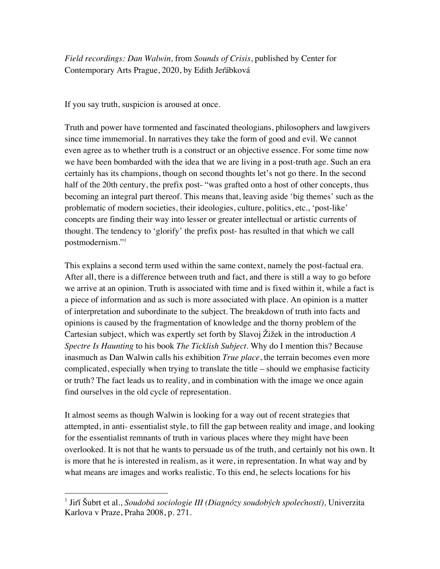*Field recordings: Dan Walwin,* from *Sounds of Crisis*, published by Center for Contemporary Arts Prague, 2020, by Edith Jeřábková

If you say truth, suspicion is aroused at once.

Truth and power have tormented and fascinated theologians, philosophers and lawgivers since time immemorial. In narratives they take the form of good and evil. We cannot even agree as to whether truth is a construct or an objective essence. For some time now we have been bombarded with the idea that we are living in a post-truth age. Such an era certainly has its champions, though on second thoughts let's not go there. In the second half of the 20th century, the prefix post- "was grafted onto a host of other concepts, thus becoming an integral part thereof. This means that, leaving aside 'big themes' such as the problematic of modern societies, their ideologies, culture, politics, etc., 'post-like' concepts are finding their way into lesser or greater intellectual or artistic currents of thought. The tendency to 'glorify' the prefix post- has resulted in that which we call postmodernism."1

This explains a second term used within the same context, namely the post-factual era. After all, there is a difference between truth and fact, and there is still a way to go before we arrive at an opinion. Truth is associated with time and is fixed within it, while a fact is a piece of information and as such is more associated with place. An opinion is a matter of interpretation and subordinate to the subject. The breakdown of truth into facts and opinions is caused by the fragmentation of knowledge and the thorny problem of the Cartesian subject, which was expertly set forth by Slavoj Žižek in the introduction *A Spectre Is Haunting* to his book *The Ticklish Subject*. Why do I mention this? Because inasmuch as Dan Walwin calls his exhibition *True place*, the terrain becomes even more complicated, especially when trying to translate the title – should we emphasise facticity or truth? The fact leads us to reality, and in combination with the image we once again find ourselves in the old cycle of representation.

It almost seems as though Walwin is looking for a way out of recent strategies that attempted, in anti- essentialist style, to fill the gap between reality and image, and looking for the essentialist remnants of truth in various places where they might have been overlooked. It is not that he wants to persuade us of the truth, and certainly not his own. It is more that he is interested in realism, as it were, in representation. In what way and by what means are images and works realistic. To this end, he selects locations for his

 <sup>1</sup> Jiří Šubrt et al., *Soudobá sociologie III (Diagnózy soudobých společností),* Univerzita Karlova v Praze, Praha 2008, p. 271.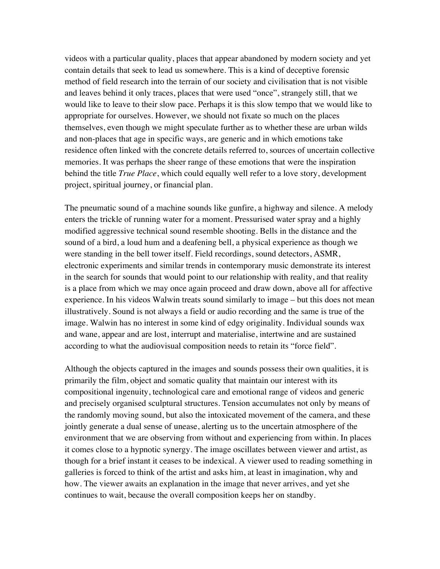videos with a particular quality, places that appear abandoned by modern society and yet contain details that seek to lead us somewhere. This is a kind of deceptive forensic method of field research into the terrain of our society and civilisation that is not visible and leaves behind it only traces, places that were used "once", strangely still, that we would like to leave to their slow pace. Perhaps it is this slow tempo that we would like to appropriate for ourselves. However, we should not fixate so much on the places themselves, even though we might speculate further as to whether these are urban wilds and non-places that age in specific ways, are generic and in which emotions take residence often linked with the concrete details referred to, sources of uncertain collective memories. It was perhaps the sheer range of these emotions that were the inspiration behind the title *True Place*, which could equally well refer to a love story, development project, spiritual journey, or financial plan.

The pneumatic sound of a machine sounds like gunfire, a highway and silence. A melody enters the trickle of running water for a moment. Pressurised water spray and a highly modified aggressive technical sound resemble shooting. Bells in the distance and the sound of a bird, a loud hum and a deafening bell, a physical experience as though we were standing in the bell tower itself. Field recordings, sound detectors, ASMR, electronic experiments and similar trends in contemporary music demonstrate its interest in the search for sounds that would point to our relationship with reality, and that reality is a place from which we may once again proceed and draw down, above all for affective experience. In his videos Walwin treats sound similarly to image – but this does not mean illustratively. Sound is not always a field or audio recording and the same is true of the image. Walwin has no interest in some kind of edgy originality. Individual sounds wax and wane, appear and are lost, interrupt and materialise, intertwine and are sustained according to what the audiovisual composition needs to retain its "force field".

Although the objects captured in the images and sounds possess their own qualities, it is primarily the film, object and somatic quality that maintain our interest with its compositional ingenuity, technological care and emotional range of videos and generic and precisely organised sculptural structures. Tension accumulates not only by means of the randomly moving sound, but also the intoxicated movement of the camera, and these jointly generate a dual sense of unease, alerting us to the uncertain atmosphere of the environment that we are observing from without and experiencing from within. In places it comes close to a hypnotic synergy. The image oscillates between viewer and artist, as though for a brief instant it ceases to be indexical. A viewer used to reading something in galleries is forced to think of the artist and asks him, at least in imagination, why and how. The viewer awaits an explanation in the image that never arrives, and yet she continues to wait, because the overall composition keeps her on standby.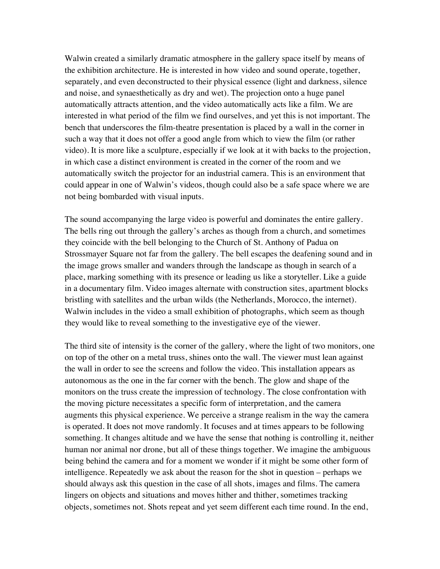Walwin created a similarly dramatic atmosphere in the gallery space itself by means of the exhibition architecture. He is interested in how video and sound operate, together, separately, and even deconstructed to their physical essence (light and darkness, silence and noise, and synaesthetically as dry and wet). The projection onto a huge panel automatically attracts attention, and the video automatically acts like a film. We are interested in what period of the film we find ourselves, and yet this is not important. The bench that underscores the film-theatre presentation is placed by a wall in the corner in such a way that it does not offer a good angle from which to view the film (or rather video). It is more like a sculpture, especially if we look at it with backs to the projection, in which case a distinct environment is created in the corner of the room and we automatically switch the projector for an industrial camera. This is an environment that could appear in one of Walwin's videos, though could also be a safe space where we are not being bombarded with visual inputs.

The sound accompanying the large video is powerful and dominates the entire gallery. The bells ring out through the gallery's arches as though from a church, and sometimes they coincide with the bell belonging to the Church of St. Anthony of Padua on Strossmayer Square not far from the gallery. The bell escapes the deafening sound and in the image grows smaller and wanders through the landscape as though in search of a place, marking something with its presence or leading us like a storyteller. Like a guide in a documentary film. Video images alternate with construction sites, apartment blocks bristling with satellites and the urban wilds (the Netherlands, Morocco, the internet). Walwin includes in the video a small exhibition of photographs, which seem as though they would like to reveal something to the investigative eye of the viewer.

The third site of intensity is the corner of the gallery, where the light of two monitors, one on top of the other on a metal truss, shines onto the wall. The viewer must lean against the wall in order to see the screens and follow the video. This installation appears as autonomous as the one in the far corner with the bench. The glow and shape of the monitors on the truss create the impression of technology. The close confrontation with the moving picture necessitates a specific form of interpretation, and the camera augments this physical experience. We perceive a strange realism in the way the camera is operated. It does not move randomly. It focuses and at times appears to be following something. It changes altitude and we have the sense that nothing is controlling it, neither human nor animal nor drone, but all of these things together. We imagine the ambiguous being behind the camera and for a moment we wonder if it might be some other form of intelligence. Repeatedly we ask about the reason for the shot in question – perhaps we should always ask this question in the case of all shots, images and films. The camera lingers on objects and situations and moves hither and thither, sometimes tracking objects, sometimes not. Shots repeat and yet seem different each time round. In the end,